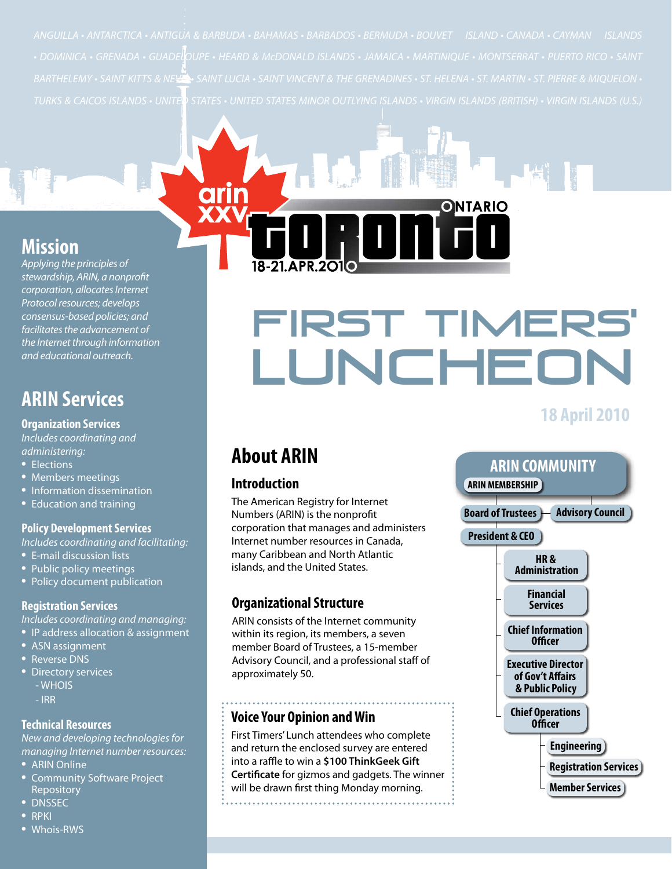*TURKS & CAICOS ISLANDS • UNITED STATES • UNITED STATES MINOR OUTLYING ISLANDS • VIRGIN ISLANDS (BRITISH) • VIRGIN ISLANDS (U.S.)*

### **Mission**

*Applying the principles of stewardship, ARIN, a nonprofit corporation, allocates Internet Protocol resources; develops consensus-based policies; and facilitates the advancement of the Internet through information and educational outreach.*

### **ARIN Services**

#### **Organization Services**

*Includes coordinating and administering:* 

- Elections
- Members meetings
- Information dissemination
- Education and training

#### **Policy Development Services**

*Includes coordinating and facilitating:*

- E-mail discussion lists
- Public policy meetings
- Policy document publication

#### **Registration Services**

*Includes coordinating and managing:*

- IP address allocation & assignment
- ASN assignment
- Reverse DNS
- **Directory services** 
	- WHOIS
	- IRR

#### **Technical Resources**

*New and developing technologies for managing Internet number resources:*

- ARIN Online
- Community Software Project Repository
- **DNSSEC**
- RPKI
- • Whois-RWS

# FIRST TIMERS LUNCHEO

**INTARIO** 

## **18 April 2010**



#### **Introduction**

The American Registry for Internet Numbers (ARIN) is the nonprofit corporation that manages and administers Internet number resources in Canada, many Caribbean and North Atlantic islands, and the United States.

#### **Organizational Structure**

ARIN consists of the Internet community within its region, its members, a seven member Board of Trustees, a 15-member Advisory Council, and a professional staff of approximately 50.

#### **Voice Your Opinion and Win**

First Timers' Lunch attendees who complete and return the enclosed survey are entered into a raffle to win a **\$100 ThinkGeek Gift Certificate** for gizmos and gadgets. The winner will be drawn first thing Monday morning.

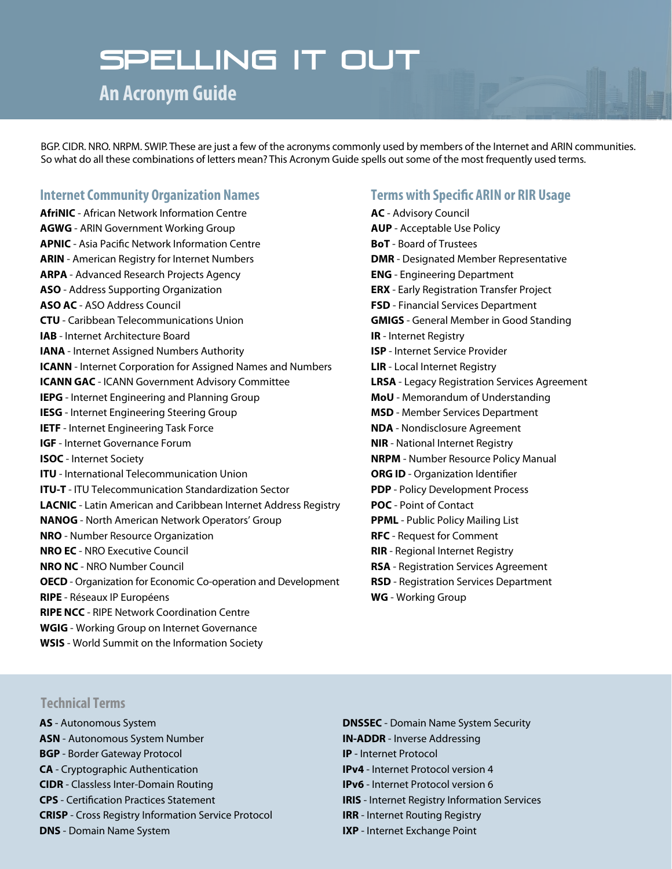# Spelling it out

**An Acronym Guide**

BGP. CIDR. NRO. NRPM. SWIP. These are just a few of the acronyms commonly used by members of the Internet and ARIN communities. So what do all these combinations of letters mean? This Acronym Guide spells out some of the most frequently used terms.

#### **Internet Community Organization Names**

**AfriNIC** - African Network Information Centre **AGWG** - ARIN Government Working Group **APNIC** - Asia Pacific Network Information Centre **ARIN** - American Registry for Internet Numbers **ARPA** - Advanced Research Projects Agency **ASO** - Address Supporting Organization **ASO AC** - ASO Address Council **CTU** - Caribbean Telecommunications Union **IAB** - Internet Architecture Board **IANA** - Internet Assigned Numbers Authority **ICANN** - Internet Corporation for Assigned Names and Numbers **ICANN GAC** - ICANN Government Advisory Committee **IEPG** - Internet Engineering and Planning Group **IESG** - Internet Engineering Steering Group **IETF** - Internet Engineering Task Force **IGF** - Internet Governance Forum **ISOC** - Internet Society **ITU** - International Telecommunication Union **ITU-T** - ITU Telecommunication Standardization Sector **LACNIC** - Latin American and Caribbean Internet Address Registry **NANOG** - North American Network Operators' Group **NRO** - Number Resource Organization **NRO EC** - NRO Executive Council **NRO NC** - NRO Number Council **OECD** - Organization for Economic Co-operation and Development **RIPE** - Réseaux IP Européens **RIPE NCC** - RIPE Network Coordination Centre **WGIG** - Working Group on Internet Governance **WSIS** - World Summit on the Information Society

#### **Terms with Specific ARIN or RIR Usage**

**AC** - Advisory Council **AUP** - Acceptable Use Policy **BoT** - Board of Trustees **DMR** - Designated Member Representative **ENG** - Engineering Department **ERX** - Early Registration Transfer Project **FSD** - Financial Services Department **GMIGS** - General Member in Good Standing **IR** - Internet Registry **ISP** - Internet Service Provider **LIR** - Local Internet Registry **LRSA** - Legacy Registration Services Agreement **MoU** - Memorandum of Understanding **MSD** - Member Services Department **NDA** - Nondisclosure Agreement **NIR** - National Internet Registry **NRPM** - Number Resource Policy Manual **ORG ID** - Organization Identifier **PDP** - Policy Development Process **POC** - Point of Contact **PPML** - Public Policy Mailing List **RFC** - Request for Comment **RIR** - Regional Internet Registry **RSA** - Registration Services Agreement **RSD** - Registration Services Department **WG** - Working Group

#### **Technical Terms**

- **AS** Autonomous System **ASN** - Autonomous System Number **BGP** - Border Gateway Protocol **CA** - Cryptographic Authentication **CIDR** - Classless Inter-Domain Routing **CPS** - Certification Practices Statement **CRISP** - Cross Registry Information Service Protocol **DNS** - Domain Name System
- **DNSSEC** Domain Name System Security **IN-ADDR** - Inverse Addressing **IP** - Internet Protocol **IPv4** - Internet Protocol version 4 **IPv6** - Internet Protocol version 6 **IRIS** - Internet Registry Information Services **IRR** - Internet Routing Registry **IXP** - Internet Exchange Point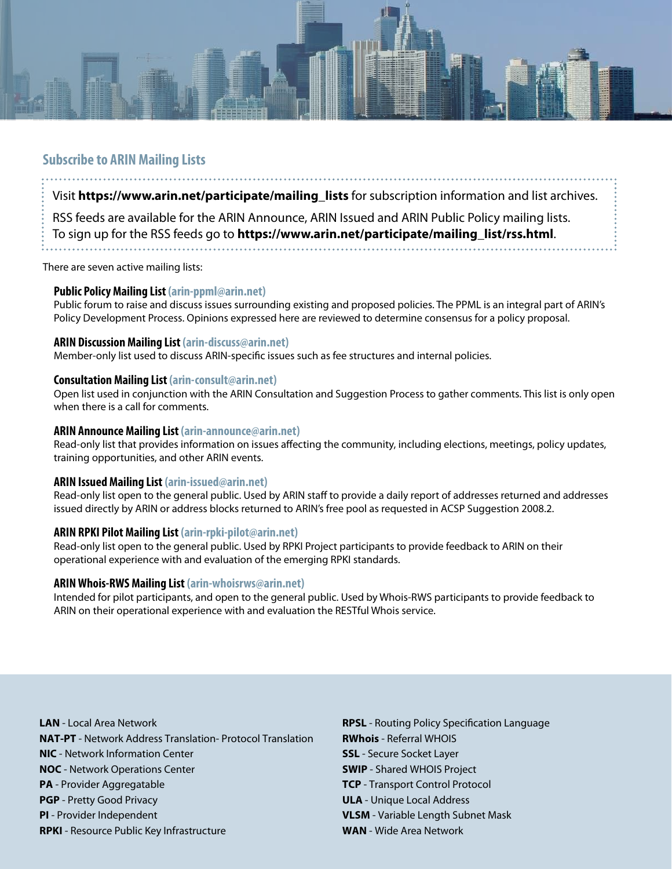

#### **Subscribe to ARIN Mailing Lists**

Visit **https://www.arin.net/participate/mailing\_lists** for subscription information and list archives.

RSS feeds are available for the ARIN Announce, ARIN Issued and ARIN Public Policy mailing lists. To sign up for the RSS feeds go to **https://www.arin.net/participate/mailing\_list/rss.html**. 

There are seven active mailing lists:

#### **Public Policy Mailing List (arin-ppml@arin.net)**

Public forum to raise and discuss issues surrounding existing and proposed policies. The PPML is an integral part of ARIN's Policy Development Process. Opinions expressed here are reviewed to determine consensus for a policy proposal.

#### **ARIN Discussion Mailing List (arin-discuss@arin.net)**

Member-only list used to discuss ARIN-specific issues such as fee structures and internal policies.

#### **Consultation Mailing List (arin-consult@arin.net)**

Open list used in conjunction with the ARIN Consultation and Suggestion Process to gather comments. This list is only open when there is a call for comments.

#### **ARIN Announce Mailing List (arin-announce@arin.net)**

Read-only list that provides information on issues affecting the community, including elections, meetings, policy updates, training opportunities, and other ARIN events.

#### **ARIN Issued Mailing List (arin-issued@arin.net)**

Read-only list open to the general public. Used by ARIN staff to provide a daily report of addresses returned and addresses issued directly by ARIN or address blocks returned to ARIN's free pool as requested in ACSP Suggestion 2008.2.

#### **ARIN RPKI Pilot Mailing List (arin-rpki-pilot@arin.net)**

Read-only list open to the general public. Used by RPKI Project participants to provide feedback to ARIN on their operational experience with and evaluation of the emerging RPKI standards.

#### **ARIN Whois-RWS Mailing List (arin-whoisrws@arin.net)**

Intended for pilot participants, and open to the general public. Used by Whois-RWS participants to provide feedback to ARIN on their operational experience with and evaluation the RESTful Whois service.

**LAN** - Local Area Network **NAT-PT** - Network Address Translation- Protocol Translation **NIC** - Network Information Center **NOC** - Network Operations Center **PA** - Provider Aggregatable **PGP** - Pretty Good Privacy **PI** - Provider Independent **RPKI** - Resource Public Key Infrastructure

**RPSL** - Routing Policy Specification Language **RWhois** - Referral WHOIS **SSL** - Secure Socket Layer **SWIP** - Shared WHOIS Project **TCP** - Transport Control Protocol **ULA** - Unique Local Address **VLSM** - Variable Length Subnet Mask **WAN** - Wide Area Network